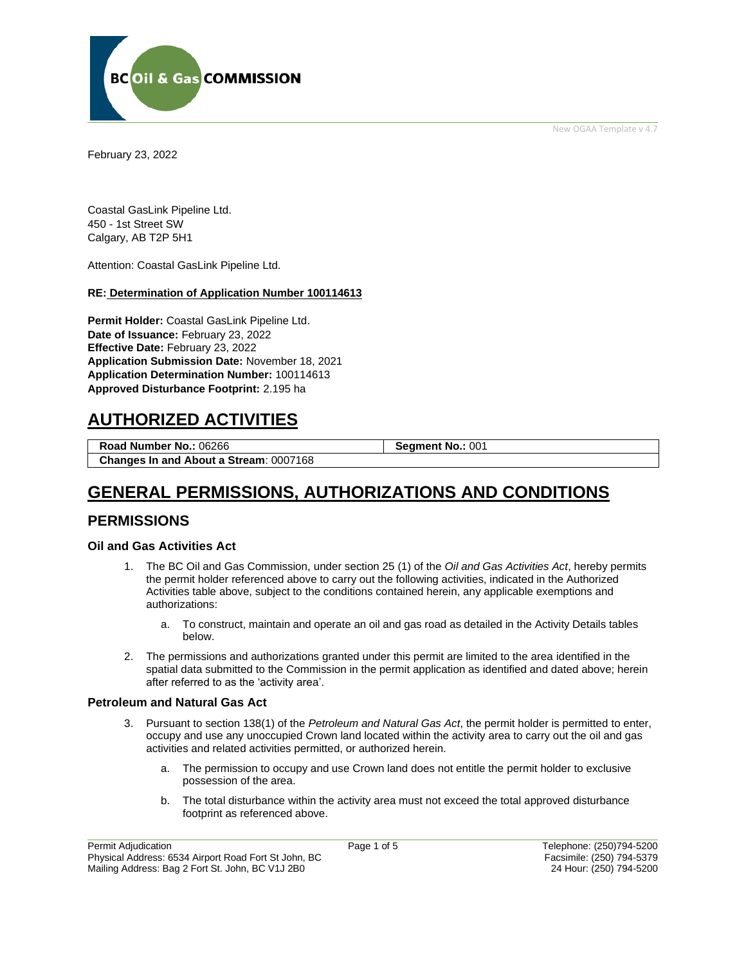New OGAA Template v 4.7



February 23, 2022

Coastal GasLink Pipeline Ltd. 450 - 1st Street SW Calgary, AB T2P 5H1

Attention: Coastal GasLink Pipeline Ltd.

#### **RE: Determination of Application Number 100114613**

**Permit Holder:** Coastal GasLink Pipeline Ltd. **Date of Issuance:** February 23, 2022 **Effective Date:** February 23, 2022 **Application Submission Date:** November 18, 2021 **Application Determination Number:** 100114613 **Approved Disturbance Footprint:** 2.195 ha

# **AUTHORIZED ACTIVITIES**

**Road Number No.: 06266 <b>Segment No.: 001** Segment No.: 001 **Changes In and About a Stream**: 0007168

# **GENERAL PERMISSIONS, AUTHORIZATIONS AND CONDITIONS**

## **PERMISSIONS**

#### **Oil and Gas Activities Act**

- 1. The BC Oil and Gas Commission, under section 25 (1) of the *Oil and Gas Activities Act*, hereby permits the permit holder referenced above to carry out the following activities, indicated in the Authorized Activities table above, subject to the conditions contained herein, any applicable exemptions and authorizations:
	- a. To construct, maintain and operate an oil and gas road as detailed in the Activity Details tables below.
- 2. The permissions and authorizations granted under this permit are limited to the area identified in the spatial data submitted to the Commission in the permit application as identified and dated above; herein after referred to as the 'activity area'.

#### **Petroleum and Natural Gas Act**

- 3. Pursuant to section 138(1) of the *Petroleum and Natural Gas Act*, the permit holder is permitted to enter, occupy and use any unoccupied Crown land located within the activity area to carry out the oil and gas activities and related activities permitted, or authorized herein.
	- a. The permission to occupy and use Crown land does not entitle the permit holder to exclusive possession of the area.
	- b. The total disturbance within the activity area must not exceed the total approved disturbance footprint as referenced above.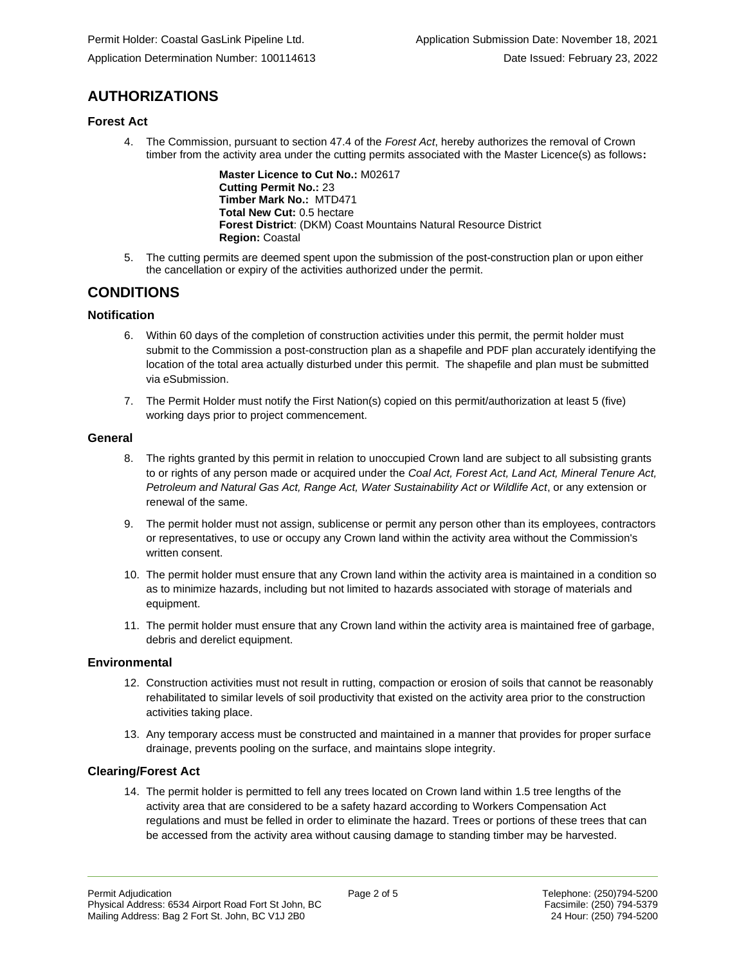# **AUTHORIZATIONS**

## **Forest Act**

4. The Commission, pursuant to section 47.4 of the *Forest Act*, hereby authorizes the removal of Crown timber from the activity area under the cutting permits associated with the Master Licence(s) as follows**:**

> **Master Licence to Cut No.:** M02617 **Cutting Permit No.:** 23 **Timber Mark No.:** MTD471 **Total New Cut:** 0.5 hectare **Forest District**: (DKM) Coast Mountains Natural Resource District **Region:** Coastal

5. The cutting permits are deemed spent upon the submission of the post-construction plan or upon either the cancellation or expiry of the activities authorized under the permit.

# **CONDITIONS**

### **Notification**

- 6. Within 60 days of the completion of construction activities under this permit, the permit holder must submit to the Commission a post-construction plan as a shapefile and PDF plan accurately identifying the location of the total area actually disturbed under this permit. The shapefile and plan must be submitted via eSubmission.
- 7. The Permit Holder must notify the First Nation(s) copied on this permit/authorization at least 5 (five) working days prior to project commencement.

#### **General**

- 8. The rights granted by this permit in relation to unoccupied Crown land are subject to all subsisting grants to or rights of any person made or acquired under the *Coal Act, Forest Act, Land Act, Mineral Tenure Act, Petroleum and Natural Gas Act, Range Act, Water Sustainability Act or Wildlife Act*, or any extension or renewal of the same.
- 9. The permit holder must not assign, sublicense or permit any person other than its employees, contractors or representatives, to use or occupy any Crown land within the activity area without the Commission's written consent.
- 10. The permit holder must ensure that any Crown land within the activity area is maintained in a condition so as to minimize hazards, including but not limited to hazards associated with storage of materials and equipment.
- 11. The permit holder must ensure that any Crown land within the activity area is maintained free of garbage, debris and derelict equipment.

#### **Environmental**

- 12. Construction activities must not result in rutting, compaction or erosion of soils that cannot be reasonably rehabilitated to similar levels of soil productivity that existed on the activity area prior to the construction activities taking place.
- 13. Any temporary access must be constructed and maintained in a manner that provides for proper surface drainage, prevents pooling on the surface, and maintains slope integrity.

#### **Clearing/Forest Act**

14. The permit holder is permitted to fell any trees located on Crown land within 1.5 tree lengths of the activity area that are considered to be a safety hazard according to Workers Compensation Act regulations and must be felled in order to eliminate the hazard. Trees or portions of these trees that can be accessed from the activity area without causing damage to standing timber may be harvested.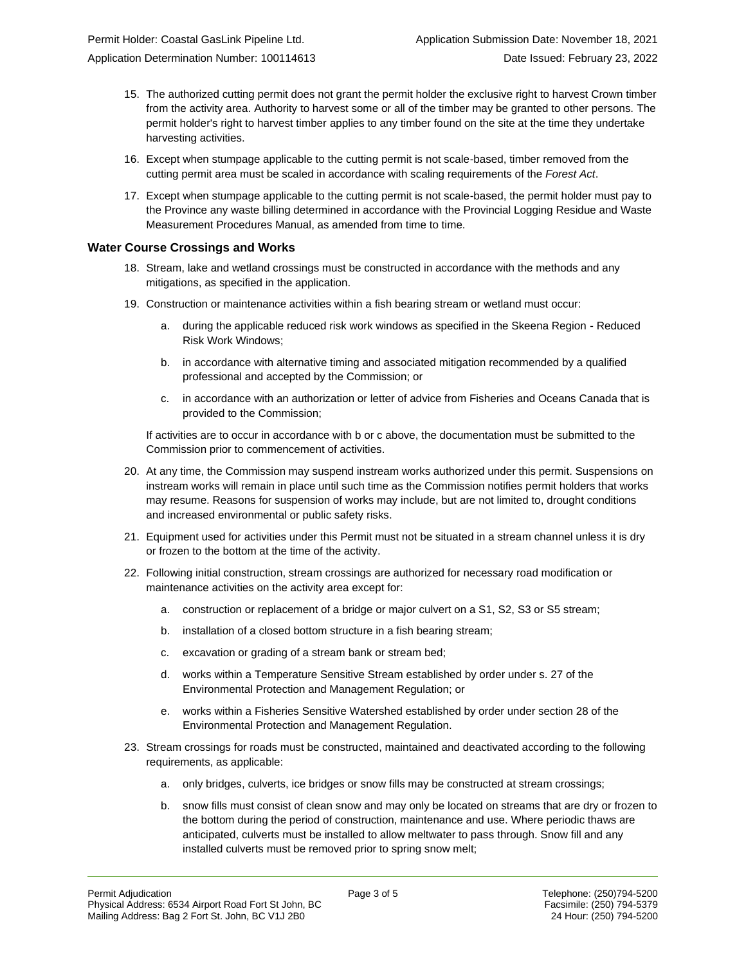- 15. The authorized cutting permit does not grant the permit holder the exclusive right to harvest Crown timber from the activity area. Authority to harvest some or all of the timber may be granted to other persons. The permit holder's right to harvest timber applies to any timber found on the site at the time they undertake harvesting activities.
- 16. Except when stumpage applicable to the cutting permit is not scale-based, timber removed from the cutting permit area must be scaled in accordance with scaling requirements of the *Forest Act*.
- 17. Except when stumpage applicable to the cutting permit is not scale-based, the permit holder must pay to the Province any waste billing determined in accordance with the Provincial Logging Residue and Waste Measurement Procedures Manual, as amended from time to time.

### **Water Course Crossings and Works**

- 18. Stream, lake and wetland crossings must be constructed in accordance with the methods and any mitigations, as specified in the application.
- 19. Construction or maintenance activities within a fish bearing stream or wetland must occur:
	- a. during the applicable reduced risk work windows as specified in the Skeena Region Reduced Risk Work Windows;
	- b. in accordance with alternative timing and associated mitigation recommended by a qualified professional and accepted by the Commission; or
	- c. in accordance with an authorization or letter of advice from Fisheries and Oceans Canada that is provided to the Commission;

If activities are to occur in accordance with b or c above, the documentation must be submitted to the Commission prior to commencement of activities.

- 20. At any time, the Commission may suspend instream works authorized under this permit. Suspensions on instream works will remain in place until such time as the Commission notifies permit holders that works may resume. Reasons for suspension of works may include, but are not limited to, drought conditions and increased environmental or public safety risks.
- 21. Equipment used for activities under this Permit must not be situated in a stream channel unless it is dry or frozen to the bottom at the time of the activity.
- 22. Following initial construction, stream crossings are authorized for necessary road modification or maintenance activities on the activity area except for:
	- a. construction or replacement of a bridge or major culvert on a S1, S2, S3 or S5 stream;
	- b. installation of a closed bottom structure in a fish bearing stream;
	- c. excavation or grading of a stream bank or stream bed;
	- d. works within a Temperature Sensitive Stream established by order under s. 27 of the Environmental Protection and Management Regulation; or
	- e. works within a Fisheries Sensitive Watershed established by order under section 28 of the Environmental Protection and Management Regulation.
- 23. Stream crossings for roads must be constructed, maintained and deactivated according to the following requirements, as applicable:
	- a. only bridges, culverts, ice bridges or snow fills may be constructed at stream crossings;
	- b. snow fills must consist of clean snow and may only be located on streams that are dry or frozen to the bottom during the period of construction, maintenance and use. Where periodic thaws are anticipated, culverts must be installed to allow meltwater to pass through. Snow fill and any installed culverts must be removed prior to spring snow melt;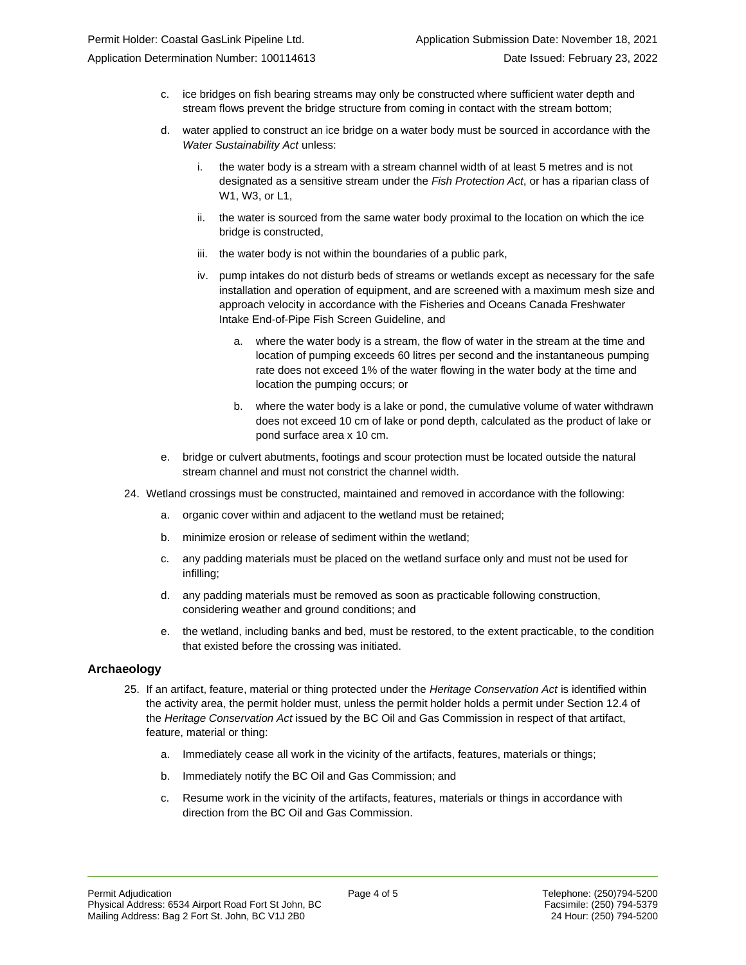- c. ice bridges on fish bearing streams may only be constructed where sufficient water depth and stream flows prevent the bridge structure from coming in contact with the stream bottom;
- d. water applied to construct an ice bridge on a water body must be sourced in accordance with the *Water Sustainability Act* unless:
	- i. the water body is a stream with a stream channel width of at least 5 metres and is not designated as a sensitive stream under the *Fish Protection Act*, or has a riparian class of W1, W3, or L1,
	- ii. the water is sourced from the same water body proximal to the location on which the ice bridge is constructed,
	- iii. the water body is not within the boundaries of a public park,
	- iv. pump intakes do not disturb beds of streams or wetlands except as necessary for the safe installation and operation of equipment, and are screened with a maximum mesh size and approach velocity in accordance with the Fisheries and Oceans Canada Freshwater Intake End-of-Pipe Fish Screen Guideline, and
		- a. where the water body is a stream, the flow of water in the stream at the time and location of pumping exceeds 60 litres per second and the instantaneous pumping rate does not exceed 1% of the water flowing in the water body at the time and location the pumping occurs; or
		- b. where the water body is a lake or pond, the cumulative volume of water withdrawn does not exceed 10 cm of lake or pond depth, calculated as the product of lake or pond surface area x 10 cm.
- e. bridge or culvert abutments, footings and scour protection must be located outside the natural stream channel and must not constrict the channel width.
- 24. Wetland crossings must be constructed, maintained and removed in accordance with the following:
	- a. organic cover within and adjacent to the wetland must be retained;
	- b. minimize erosion or release of sediment within the wetland;
	- c. any padding materials must be placed on the wetland surface only and must not be used for infilling;
	- d. any padding materials must be removed as soon as practicable following construction, considering weather and ground conditions; and
	- e. the wetland, including banks and bed, must be restored, to the extent practicable, to the condition that existed before the crossing was initiated.

#### **Archaeology**

- 25. If an artifact, feature, material or thing protected under the *Heritage Conservation Act* is identified within the activity area, the permit holder must, unless the permit holder holds a permit under Section 12.4 of the *Heritage Conservation Act* issued by the BC Oil and Gas Commission in respect of that artifact, feature, material or thing:
	- a. Immediately cease all work in the vicinity of the artifacts, features, materials or things;
	- b. Immediately notify the BC Oil and Gas Commission; and
	- c. Resume work in the vicinity of the artifacts, features, materials or things in accordance with direction from the BC Oil and Gas Commission.